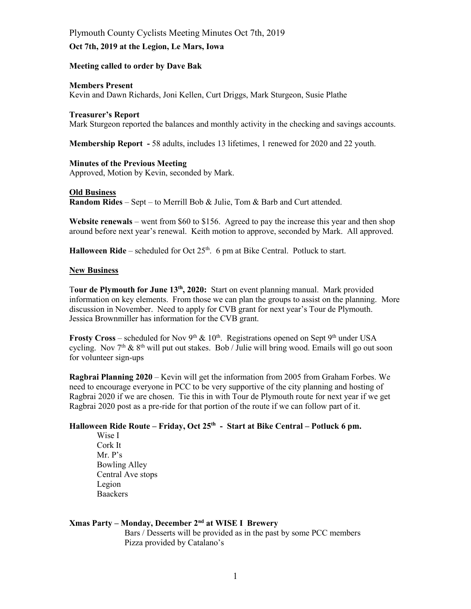# Plymouth County Cyclists Meeting Minutes Oct 7th, 2019 **Oct 7th, 2019 at the Legion, Le Mars, Iowa**

## **Meeting called to order by Dave Bak**

#### **Members Present**

Kevin and Dawn Richards, Joni Kellen, Curt Driggs, Mark Sturgeon, Susie Plathe

#### **Treasurer's Report**

Mark Sturgeon reported the balances and monthly activity in the checking and savings accounts.

**Membership Report -** 58 adults, includes 13 lifetimes, 1 renewed for 2020 and 22 youth.

#### **Minutes of the Previous Meeting**

Approved, Motion by Kevin, seconded by Mark.

#### **Old Business**

**Random Rides** – Sept – to Merrill Bob & Julie, Tom & Barb and Curt attended.

**Website renewals** – went from \$60 to \$156. Agreed to pay the increase this year and then shop around before next year's renewal. Keith motion to approve, seconded by Mark. All approved.

**Halloween Ride** – scheduled for Oct  $25<sup>th</sup>$ . 6 pm at Bike Central. Potluck to start.

## **New Business**

T**our de Plymouth for June 13th, 2020:** Start on event planning manual. Mark provided information on key elements. From those we can plan the groups to assist on the planning. More discussion in November. Need to apply for CVB grant for next year's Tour de Plymouth. Jessica Brownmiller has information for the CVB grant.

**Frosty Cross** – scheduled for Nov 9<sup>th</sup> & 10<sup>th</sup>. Registrations opened on Sept 9<sup>th</sup> under USA cycling. Nov  $7<sup>th</sup>$  &  $8<sup>th</sup>$  will put out stakes. Bob / Julie will bring wood. Emails will go out soon for volunteer sign-ups

**Ragbrai Planning 2020** – Kevin will get the information from 2005 from Graham Forbes. We need to encourage everyone in PCC to be very supportive of the city planning and hosting of Ragbrai 2020 if we are chosen. Tie this in with Tour de Plymouth route for next year if we get Ragbrai 2020 post as a pre-ride for that portion of the route if we can follow part of it.

# **Halloween Ride Route – Friday, Oct 25<sup>th</sup> - Start at Bike Central – Potluck 6 pm.**

Wise I Cork It Mr.  $P's$ Bowling Alley Central Ave stops Legion **Baackers** 

## **Xmas Party ± Monday, December 2nd at WISE I Brewery**

Bars / Desserts will be provided as in the past by some PCC members Pizza provided by Catalano's